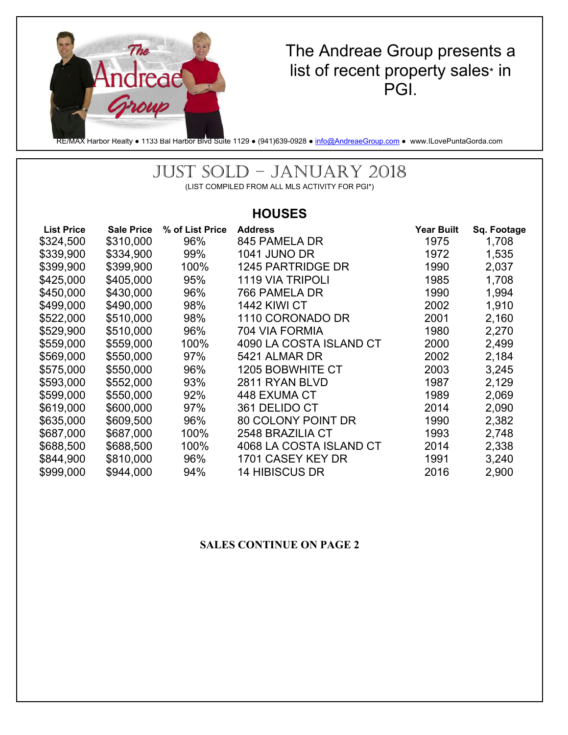

# The Andreae Group presents a list of recent property sales\* in PGI.

RE/MAX Harbor Realty ● 1133 Bal Harbor Blvd Suite 1129 ● (941)639-0928 ● info@AndreaeGroup.com ● www.ILovePuntaGorda.com

# JUST SOLD – JANUARY 2018

(LIST COMPILED FROM ALL MLS ACTIVITY FOR PGI\*)

# **HOUSES**

| <b>List Price</b> | <b>Sale Price</b> | % of List Price | <b>Address</b>          | <b>Year Built</b> | Sq. Footage |
|-------------------|-------------------|-----------------|-------------------------|-------------------|-------------|
| \$324,500         | \$310,000         | 96%             | 845 PAMELA DR           | 1975              | 1,708       |
| \$339,900         | \$334,900         | 99%             | <b>1041 JUNO DR</b>     | 1972              | 1,535       |
| \$399,900         | \$399,900         | 100%            | 1245 PARTRIDGE DR       | 1990              | 2,037       |
| \$425,000         | \$405,000         | 95%             | 1119 VIA TRIPOLI        | 1985              | 1,708       |
| \$450,000         | \$430,000         | 96%             | 766 PAMELA DR           | 1990              | 1,994       |
| \$499,000         | \$490,000         | 98%             | <b>1442 KIWI CT</b>     | 2002              | 1,910       |
| \$522,000         | \$510,000         | 98%             | 1110 CORONADO DR        | 2001              | 2,160       |
| \$529,900         | \$510,000         | 96%             | 704 VIA FORMIA          | 1980              | 2,270       |
| \$559,000         | \$559,000         | 100%            | 4090 LA COSTA ISLAND CT | 2000              | 2,499       |
| \$569,000         | \$550,000         | 97%             | 5421 ALMAR DR           | 2002              | 2,184       |
| \$575,000         | \$550,000         | 96%             | <b>1205 BOBWHITE CT</b> | 2003              | 3,245       |
| \$593,000         | \$552,000         | 93%             | 2811 RYAN BLVD          | 1987              | 2,129       |
| \$599,000         | \$550,000         | 92%             | 448 EXUMA CT            | 1989              | 2,069       |
| \$619,000         | \$600,000         | 97%             | 361 DELIDO CT           | 2014              | 2,090       |
| \$635,000         | \$609,500         | 96%             | 80 COLONY POINT DR      | 1990              | 2,382       |
| \$687,000         | \$687,000         | 100%            | 2548 BRAZILIA CT        | 1993              | 2,748       |
| \$688,500         | \$688,500         | 100%            | 4068 LA COSTA ISLAND CT | 2014              | 2,338       |
| \$844,900         | \$810,000         | 96%             | 1701 CASEY KEY DR       | 1991              | 3,240       |
| \$999,000         | \$944,000         | 94%             | <b>14 HIBISCUS DR</b>   | 2016              | 2,900       |

#### **SALES CONTINUE ON PAGE 2**